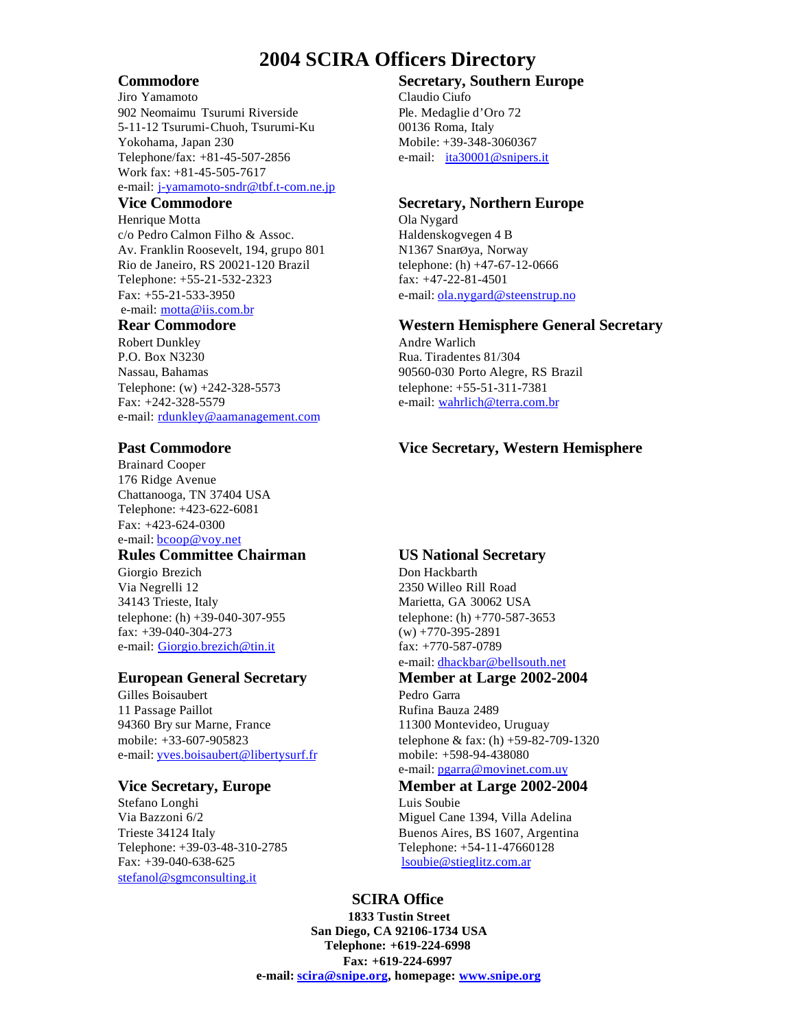# **2004 SCIRA Officers Directory**

Jiro Yamamoto Claudio Ciufo 902 Neomaimu Tsurumi Riverside Ple. Medaglie d'Oro 72 5-11-12 Tsurumi-Chuoh, Tsurumi-Ku 00136 Roma, Italy Yokohama, Japan 230 Mobile: +39-348-3060367 Telephone/fax: +81-45-507-2856 e-mail: ita30001@snipers.it Work fax: +81-45-505-7617 e-mail: j-yamamoto-sndr@tbf.t-com.ne.jp

Henrique Motta **Ola Nygard** c/o Pedro Calmon Filho & Assoc. Haldenskogvegen 4 B Av. Franklin Roosevelt, 194, grupo 801 N1367 SnarØya, Norway Rio de Janeiro, RS 20021-120 Brazil telephone: (h) +47-67-12-0666 Telephone: +55-21-532-2323 fax: +47-22-81-4501 Fax: +55-21-533-3950 e-mail: ola.nygard@steenstrup.no e-mail: motta@iis.com.br

Robert Dunkley Andre Warlich P.O. Box N3230 Rua. Tiradentes 81/304 Nassau, Bahamas 90560-030 Porto Alegre, RS Brazil Telephone: (w) +242-328-5573 telephone: +55-51-311-7381 Fax: +242-328-5579 e-mail: wahrlich@terra.com.br e-mail: rdunkley@aamanagement.com

Brainard Cooper 176 Ridge Avenue Chattanooga, TN 37404 USA Telephone: +423-622-6081 Fax: +423-624-0300 e-mail: bcoop@voy.net

## **Rules Committee Chairman US National Secretary**

Giorgio Brezich Don Hackbarth Via Negrelli 12 2350 Willeo Rill Road 34143 Trieste, Italy Marietta, GA 30062 USA telephone: (h) +39-040-307-955 telephone: (h) +770-587-3653 fax:  $+39-040-304-273$  (w)  $+770-395-2891$ e-mail: Giorgio.brezich@tin.it fax: +770-587-0789

Gilles Boisaubert **Pedro Garra** 11 Passage Paillot **Rufina Bauza 2489** 94360 Bry sur Marne, France 11300 Montevideo, Uruguay e-mail: yves.boisaubert@libertysurf.fr mobile: +598-94-438080

### **Vice Secretary, Europe Member at Large 2002-2004**

Stefano Longhi Luis Soubie Telephone: +39-03-48-310-2785 Telephone: +54-11-47660128 Fax: +39-040-638-625 lsoubie@stieglitz.com.ar stefanol@sgmconsulting.it

# **Commodore Secretary, Southern Europe**

### **Vice Commodore Secretary, Northern Europe**

### **Rear Commodore Western Hemisphere General Secretary**

## **Past Commodore Vice Secretary, Western Hemisphere**

e-mail: dhackbar@bellsouth.net

# **European General Secretary Member at Large 2002-2004**

mobile: +33-607-905823 telephone & fax: (h) +59-82-709-1320 e-mail: pgarra@movinet.com.uy

Via Bazzoni 6/2 Miguel Cane 1394, Villa Adelina Trieste 34124 Italy Buenos Aires, BS 1607, Argentina

## **SCIRA Office**

**1833 Tustin Street San Diego, CA 92106-1734 USA Telephone: +619-224-6998 Fax: +619-224-6997 e-mail: scira@snipe.org, homepage: www.snipe.org**